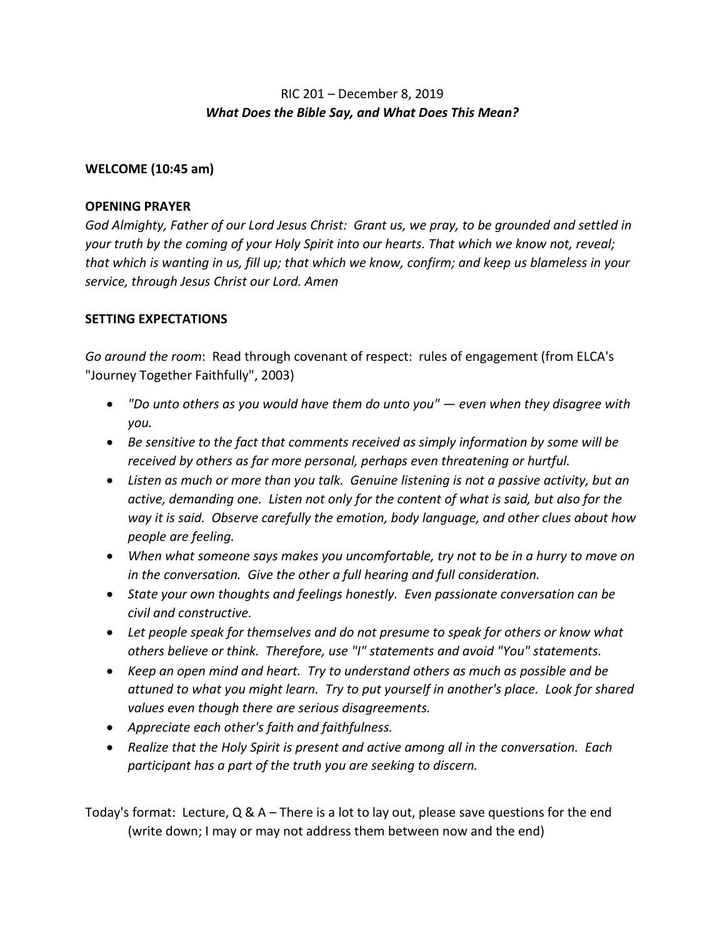# RIC 201 – December 8, 2019 *What Does the Bible Say, and What Does This Mean?*

### **WELCOME (10:45 am)**

### **OPENING PRAYER**

*God Almighty, Father of our Lord Jesus Christ: Grant us, we pray, to be grounded and settled in your truth by the coming of your Holy Spirit into our hearts. That which we know not, reveal; that which is wanting in us, fill up; that which we know, confirm; and keep us blameless in your service, through Jesus Christ our Lord. Amen*

## **SETTING EXPECTATIONS**

*Go around the room*: Read through covenant of respect: rules of engagement (from ELCA's "Journey Together Faithfully", 2003)

- *"Do unto others as you would have them do unto you" — even when they disagree with you.*
- *Be sensitive to the fact that comments received as simply information by some will be received by others as far more personal, perhaps even threatening or hurtful.*
- *Listen as much or more than you talk. Genuine listening is not a passive activity, but an active, demanding one. Listen not only for the content of what is said, but also for the way it is said. Observe carefully the emotion, body language, and other clues about how people are feeling.*
- *When what someone says makes you uncomfortable, try not to be in a hurry to move on in the conversation. Give the other a full hearing and full consideration.*
- *State your own thoughts and feelings honestly. Even passionate conversation can be civil and constructive.*
- *Let people speak for themselves and do not presume to speak for others or know what others believe or think. Therefore, use "I" statements and avoid "You" statements.*
- *Keep an open mind and heart. Try to understand others as much as possible and be attuned to what you might learn. Try to put yourself in another's place. Look for shared values even though there are serious disagreements.*
- *Appreciate each other's faith and faithfulness.*
- *Realize that the Holy Spirit is present and active among all in the conversation. Each participant has a part of the truth you are seeking to discern.*

Today's format: Lecture, Q & A – There is a lot to lay out, please save questions for the end (write down; I may or may not address them between now and the end)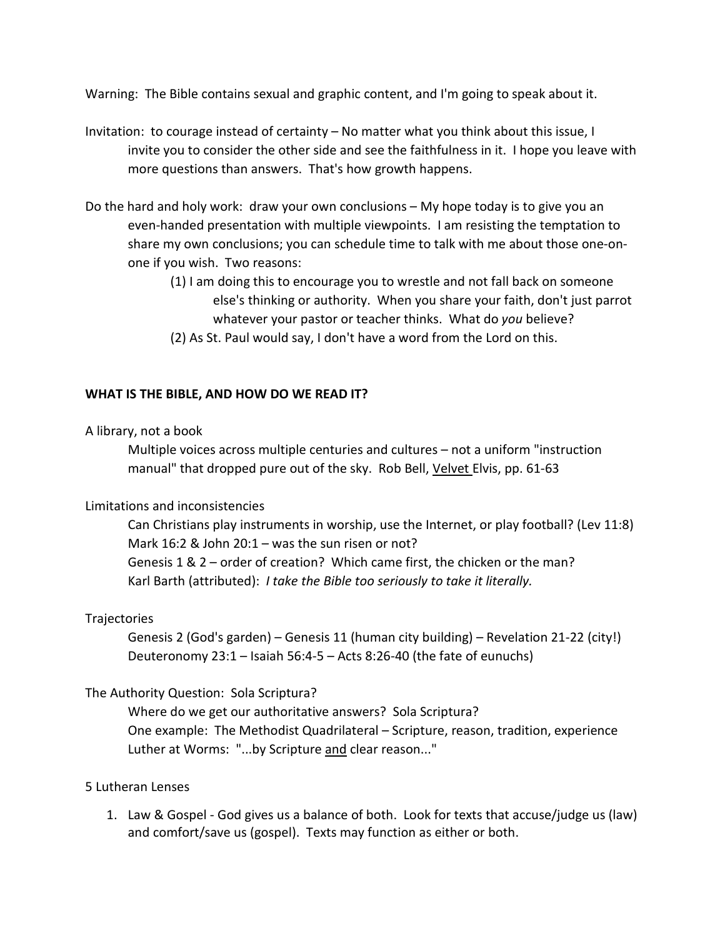Warning: The Bible contains sexual and graphic content, and I'm going to speak about it.

- Invitation: to courage instead of certainty No matter what you think about this issue, I invite you to consider the other side and see the faithfulness in it. I hope you leave with more questions than answers. That's how growth happens.
- Do the hard and holy work: draw your own conclusions My hope today is to give you an even-handed presentation with multiple viewpoints. I am resisting the temptation to share my own conclusions; you can schedule time to talk with me about those one-onone if you wish. Two reasons:
	- (1) I am doing this to encourage you to wrestle and not fall back on someone else's thinking or authority. When you share your faith, don't just parrot whatever your pastor or teacher thinks. What do *you* believe?
	- (2) As St. Paul would say, I don't have a word from the Lord on this.

## **WHAT IS THE BIBLE, AND HOW DO WE READ IT?**

#### A library, not a book

Multiple voices across multiple centuries and cultures – not a uniform "instruction manual" that dropped pure out of the sky. Rob Bell, Velvet Elvis, pp. 61-63

#### Limitations and inconsistencies

Can Christians play instruments in worship, use the Internet, or play football? (Lev 11:8) Mark 16:2 & John 20:1 – was the sun risen or not? Genesis 1 & 2 – order of creation? Which came first, the chicken or the man? Karl Barth (attributed): *I take the Bible too seriously to take it literally.*

## **Trajectories**

Genesis 2 (God's garden) – Genesis 11 (human city building) – Revelation 21-22 (city!) Deuteronomy  $23:1$  – Isaiah 56:4-5 – Acts 8:26-40 (the fate of eunuchs)

## The Authority Question: Sola Scriptura?

Where do we get our authoritative answers? Sola Scriptura? One example: The Methodist Quadrilateral – Scripture, reason, tradition, experience Luther at Worms: "...by Scripture and clear reason..."

#### 5 Lutheran Lenses

1. Law & Gospel - God gives us a balance of both. Look for texts that accuse/judge us (law) and comfort/save us (gospel). Texts may function as either or both.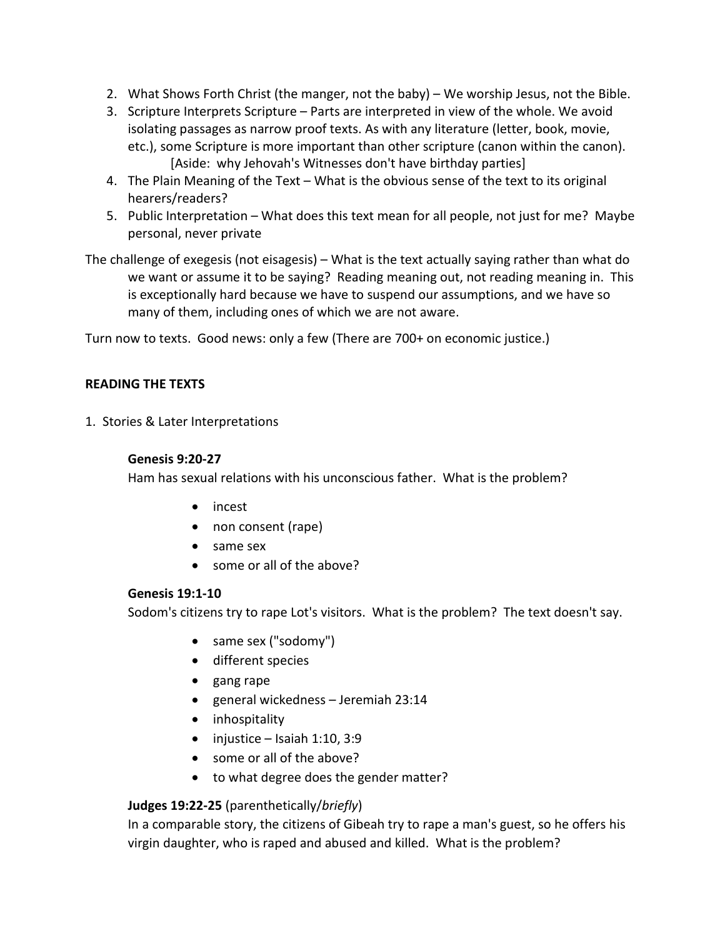- 2. What Shows Forth Christ (the manger, not the baby) We worship Jesus, not the Bible.
- 3. Scripture Interprets Scripture Parts are interpreted in view of the whole. We avoid isolating passages as narrow proof texts. As with any literature (letter, book, movie, etc.), some Scripture is more important than other scripture (canon within the canon). [Aside: why Jehovah's Witnesses don't have birthday parties]
- 4. The Plain Meaning of the Text What is the obvious sense of the text to its original hearers/readers?
- 5. Public Interpretation What does this text mean for all people, not just for me? Maybe personal, never private
- The challenge of exegesis (not eisagesis) What is the text actually saying rather than what do we want or assume it to be saying? Reading meaning out, not reading meaning in. This is exceptionally hard because we have to suspend our assumptions, and we have so many of them, including ones of which we are not aware.

Turn now to texts. Good news: only a few (There are 700+ on economic justice.)

## **READING THE TEXTS**

1.Stories & Later Interpretations

## **Genesis 9:20-27**

Ham has sexual relations with his unconscious father. What is the problem?

- incest
- non consent (rape)
- same sex
- some or all of the above?

# **Genesis 19:1-10**

Sodom's citizens try to rape Lot's visitors. What is the problem? The text doesn't say.

- same sex ("sodomy")
- different species
- gang rape
- general wickedness Jeremiah 23:14
- inhospitality
- $\bullet$  injustice Isaiah 1:10, 3:9
- some or all of the above?
- to what degree does the gender matter?

# **Judges 19:22-25** (parenthetically/*briefly*)

In a comparable story, the citizens of Gibeah try to rape a man's guest, so he offers his virgin daughter, who is raped and abused and killed. What is the problem?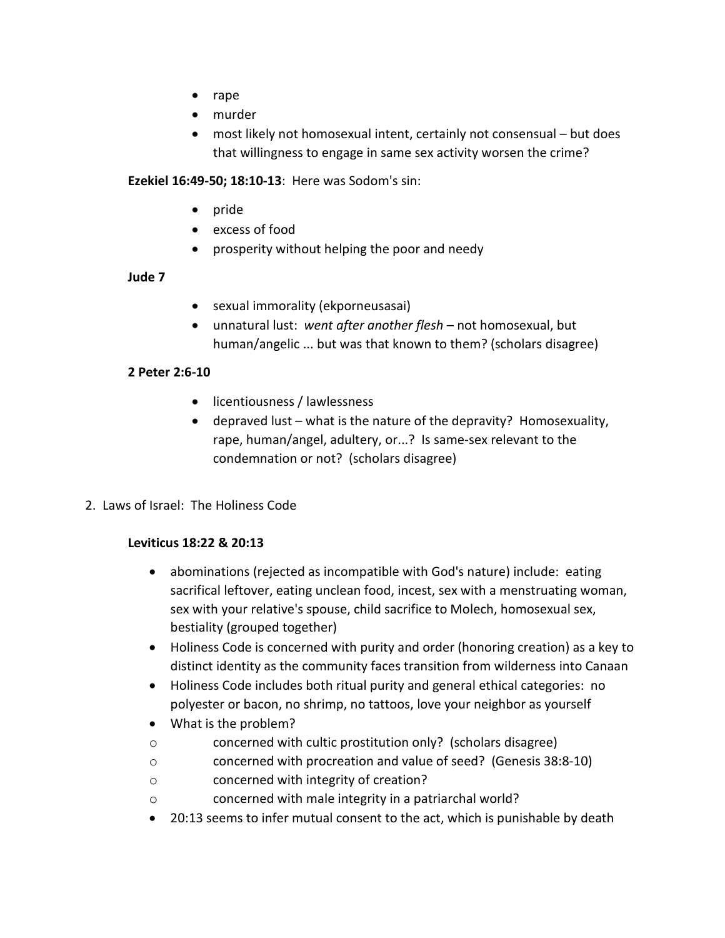- rape
- murder
- most likely not homosexual intent, certainly not consensual but does that willingness to engage in same sex activity worsen the crime?

**Ezekiel 16:49-50; 18:10-13**: Here was Sodom's sin:

- pride
- excess of food
- prosperity without helping the poor and needy

## **Jude 7**

- sexual immorality (ekporneusasai)
- unnatural lust: *went after another flesh*  not homosexual, but human/angelic ... but was that known to them? (scholars disagree)

## **2 Peter 2:6-10**

- licentiousness / lawlessness
- $\bullet$  depraved lust what is the nature of the depravity? Homosexuality, rape, human/angel, adultery, or...? Is same-sex relevant to the condemnation or not? (scholars disagree)
- 2. Laws of Israel: The Holiness Code

## **Leviticus 18:22 & 20:13**

- abominations (rejected as incompatible with God's nature) include: eating sacrifical leftover, eating unclean food, incest, sex with a menstruating woman, sex with your relative's spouse, child sacrifice to Molech, homosexual sex, bestiality (grouped together)
- Holiness Code is concerned with purity and order (honoring creation) as a key to distinct identity as the community faces transition from wilderness into Canaan
- Holiness Code includes both ritual purity and general ethical categories: no polyester or bacon, no shrimp, no tattoos, love your neighbor as yourself
- What is the problem?
- o concerned with cultic prostitution only? (scholars disagree)
- o concerned with procreation and value of seed? (Genesis 38:8-10)
- o concerned with integrity of creation?
- o concerned with male integrity in a patriarchal world?
- 20:13 seems to infer mutual consent to the act, which is punishable by death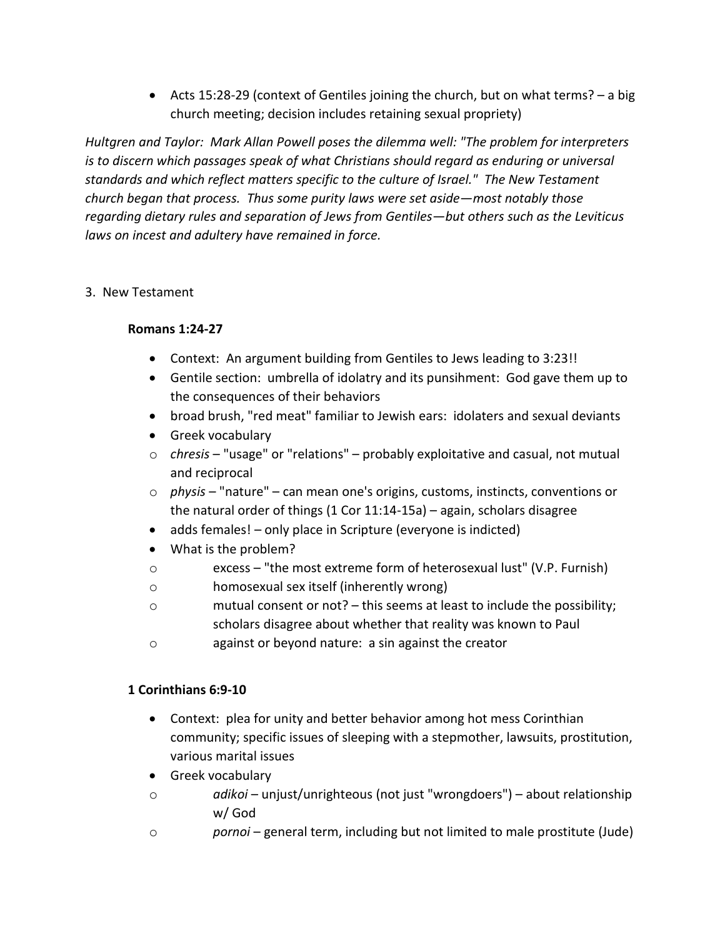• Acts 15:28-29 (context of Gentiles joining the church, but on what terms? – a big church meeting; decision includes retaining sexual propriety)

*Hultgren and Taylor: Mark Allan Powell poses the dilemma well: "The problem for interpreters is to discern which passages speak of what Christians should regard as enduring or universal standards and which reflect matters specific to the culture of Israel." The New Testament church began that process. Thus some purity laws were set aside—most notably those regarding dietary rules and separation of Jews from Gentiles—but others such as the Leviticus laws on incest and adultery have remained in force.*

# 3. New Testament

# **Romans 1:24-27**

- Context: An argument building from Gentiles to Jews leading to 3:23!!
- Gentile section: umbrella of idolatry and its punsihment: God gave them up to the consequences of their behaviors
- broad brush, "red meat" familiar to Jewish ears: idolaters and sexual deviants
- Greek vocabulary
- o *chresis* "usage" or "relations" probably exploitative and casual, not mutual and reciprocal
- o *physis* "nature" can mean one's origins, customs, instincts, conventions or the natural order of things (1 Cor 11:14-15a) – again, scholars disagree
- adds females! only place in Scripture (everyone is indicted)
- What is the problem?
- o excess "the most extreme form of heterosexual lust" (V.P. Furnish)
- o homosexual sex itself (inherently wrong)
- o mutual consent or not? this seems at least to include the possibility; scholars disagree about whether that reality was known to Paul
- o against or beyond nature: a sin against the creator

# **1 Corinthians 6:9-10**

- Context: plea for unity and better behavior among hot mess Corinthian community; specific issues of sleeping with a stepmother, lawsuits, prostitution, various marital issues
- Greek vocabulary
- o *adikoi*  unjust/unrighteous (not just "wrongdoers") about relationship w/ God
- o *pornoi*  general term, including but not limited to male prostitute (Jude)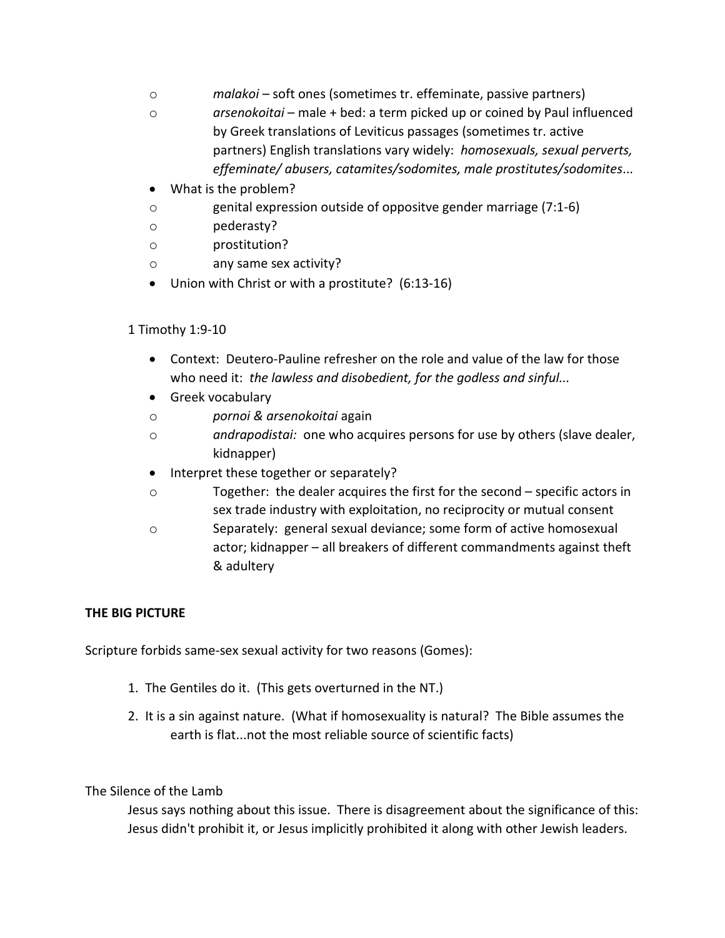- o *malakoi*  soft ones (sometimes tr. effeminate, passive partners)
- o *arsenokoitai*  male + bed: a term picked up or coined by Paul influenced by Greek translations of Leviticus passages (sometimes tr. active partners) English translations vary widely: *homosexuals, sexual perverts, effeminate/ abusers, catamites/sodomites, male prostitutes/sodomites*...
- What is the problem?
- o genital expression outside of oppositve gender marriage (7:1-6)
- o pederasty?
- o prostitution?
- o any same sex activity?
- Union with Christ or with a prostitute? (6:13-16)

# 1 Timothy 1:9-10

- Context: Deutero-Pauline refresher on the role and value of the law for those who need it: *the lawless and disobedient, for the godless and sinful...*
- Greek vocabulary
- o *pornoi & arsenokoitai* again
- o *andrapodistai:* one who acquires persons for use by others (slave dealer, kidnapper)
- Interpret these together or separately?
- o Together: the dealer acquires the first for the second specific actors in sex trade industry with exploitation, no reciprocity or mutual consent
- o Separately: general sexual deviance; some form of active homosexual actor; kidnapper – all breakers of different commandments against theft & adultery

# **THE BIG PICTURE**

Scripture forbids same-sex sexual activity for two reasons (Gomes):

- 1. The Gentiles do it. (This gets overturned in the NT.)
- 2. It is a sin against nature. (What if homosexuality is natural? The Bible assumes the earth is flat...not the most reliable source of scientific facts)

# The Silence of the Lamb

Jesus says nothing about this issue. There is disagreement about the significance of this: Jesus didn't prohibit it, or Jesus implicitly prohibited it along with other Jewish leaders.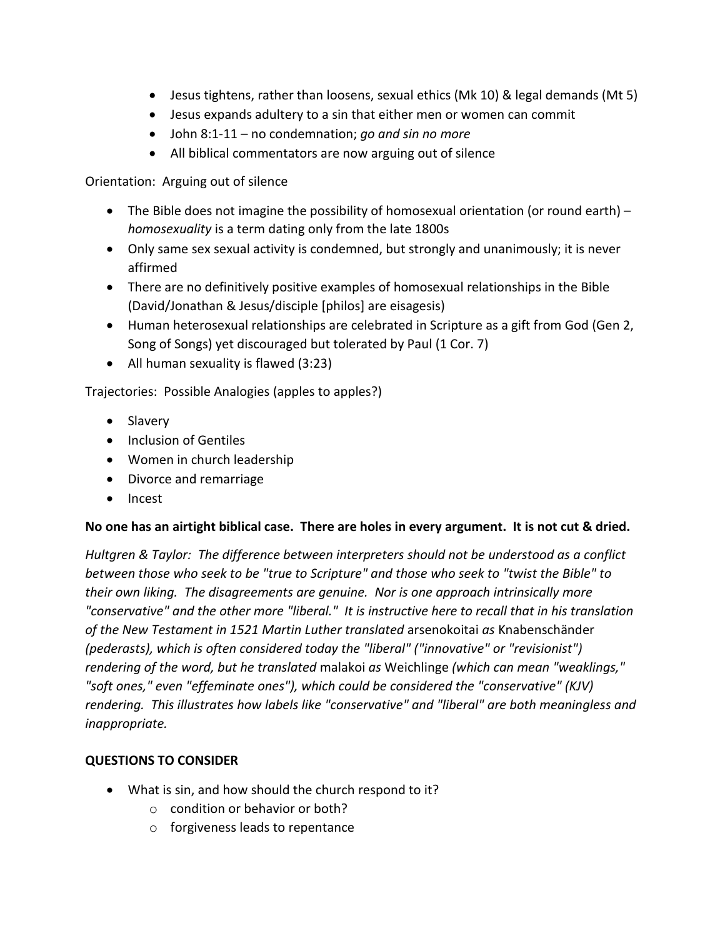- Jesus tightens, rather than loosens, sexual ethics (Mk 10) & legal demands (Mt 5)
- Jesus expands adultery to a sin that either men or women can commit
- John 8:1-11 no condemnation; *go and sin no more*
- All biblical commentators are now arguing out of silence

Orientation: Arguing out of silence

- The Bible does not imagine the possibility of homosexual orientation (or round earth) *homosexuality* is a term dating only from the late 1800s
- Only same sex sexual activity is condemned, but strongly and unanimously; it is never affirmed
- There are no definitively positive examples of homosexual relationships in the Bible (David/Jonathan & Jesus/disciple [philos] are eisagesis)
- Human heterosexual relationships are celebrated in Scripture as a gift from God (Gen 2, Song of Songs) yet discouraged but tolerated by Paul (1 Cor. 7)
- All human sexuality is flawed (3:23)

Trajectories: Possible Analogies (apples to apples?)

- Slavery
- Inclusion of Gentiles
- Women in church leadership
- Divorce and remarriage
- Incest

# **No one has an airtight biblical case. There are holes in every argument. It is not cut & dried.**

*Hultgren & Taylor: The difference between interpreters should not be understood as a conflict between those who seek to be "true to Scripture" and those who seek to "twist the Bible" to their own liking. The disagreements are genuine. Nor is one approach intrinsically more "conservative" and the other more "liberal." It is instructive here to recall that in his translation of the New Testament in 1521 Martin Luther translated* arsenokoitai *as* Knabenschänder *(pederasts), which is often considered today the "liberal" ("innovative" or "revisionist") rendering of the word, but he translated* malakoi *as* Weichlinge *(which can mean "weaklings," "soft ones," even "effeminate ones"), which could be considered the "conservative" (KJV) rendering. This illustrates how labels like "conservative" and "liberal" are both meaningless and inappropriate.*

# **QUESTIONS TO CONSIDER**

- What is sin, and how should the church respond to it?
	- o condition or behavior or both?
	- o forgiveness leads to repentance